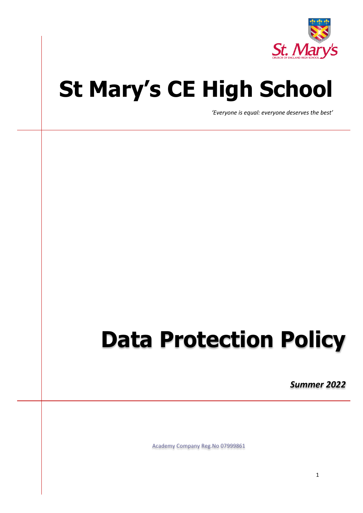

# **St Mary's CE High School**

*'Everyone is equal: everyone deserves the best'*

# **Data Protection Policy**

*Summer 2022*

Academy Company Reg.No 07999861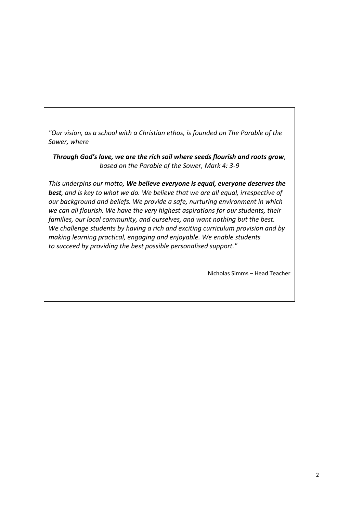*"Our vision, as a school with a Christian ethos, is founded on The Parable of the Sower, where*

*Through God's love, we are the rich soil where seeds flourish and roots grow, based on the Parable of the Sower, Mark 4: 3-9*

*This underpins our motto, We believe everyone is equal, everyone deserves the best, and is key to what we do. We believe that we are all equal, irrespective of our background and beliefs. We provide a safe, nurturing environment in which we can all flourish. We have the very highest aspirations for our students, their families, our local community, and ourselves, and want nothing but the best. We challenge students by having a rich and exciting curriculum provision and by making learning practical, engaging and enjoyable. We enable students to succeed by providing the best possible personalised support."*

Nicholas Simms – Head Teacher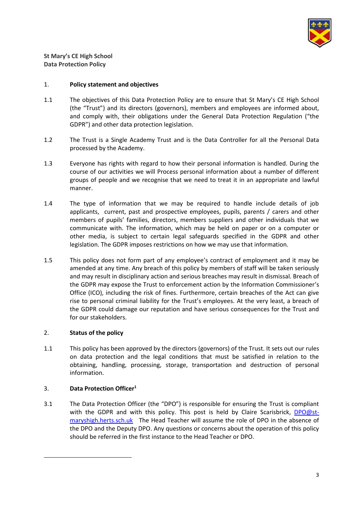

**St Mary's CE High School Data Protection Policy**

# 1. **Policy statement and objectives**

- 1.1 The objectives of this Data Protection Policy are to ensure that St Mary's CE High School (the "Trust") and its directors (governors), members and employees are informed about, and comply with, their obligations under the General Data Protection Regulation ("the GDPR") and other data protection legislation.
- 1.2 The Trust is a Single Academy Trust and is the Data Controller for all the Personal Data processed by the Academy.
- 1.3 Everyone has rights with regard to how their personal information is handled. During the course of our activities we will Process personal information about a number of different groups of people and we recognise that we need to treat it in an appropriate and lawful manner.
- 1.4 The type of information that we may be required to handle include details of job applicants, current, past and prospective employees, pupils, parents / carers and other members of pupils' families, directors, members suppliers and other individuals that we communicate with. The information, which may be held on paper or on a computer or other media, is subject to certain legal safeguards specified in the GDPR and other legislation. The GDPR imposes restrictions on how we may use that information.
- 1.5 This policy does not form part of any employee's contract of employment and it may be amended at any time. Any breach of this policy by members of staff will be taken seriously and may result in disciplinary action and serious breaches may result in dismissal. Breach of the GDPR may expose the Trust to enforcement action by the Information Commissioner's Office (ICO), including the risk of fines. Furthermore, certain breaches of the Act can give rise to personal criminal liability for the Trust's employees. At the very least, a breach of the GDPR could damage our reputation and have serious consequences for the Trust and for our stakeholders.

# 2. **Status of the policy**

1.1 This policy has been approved by the directors (governors) of the Trust. It sets out our rules on data protection and the legal conditions that must be satisfied in relation to the obtaining, handling, processing, storage, transportation and destruction of personal information.

# 3. **Data Protection Officer<sup>1</sup>**

-

3.1 The Data Protection Officer (the "DPO") is responsible for ensuring the Trust is compliant with the GDPR and with this policy. This post is held by Claire Scarisbrick, [DPO@st](mailto:DPO@st-maryshigh.herts.sch.uk)[maryshigh.herts.sch.uk](mailto:DPO@st-maryshigh.herts.sch.uk) The Head Teacher will assume the role of DPO in the absence of the DPO and the Deputy DPO. Any questions or concerns about the operation of this policy should be referred in the first instance to the Head Teacher or DPO.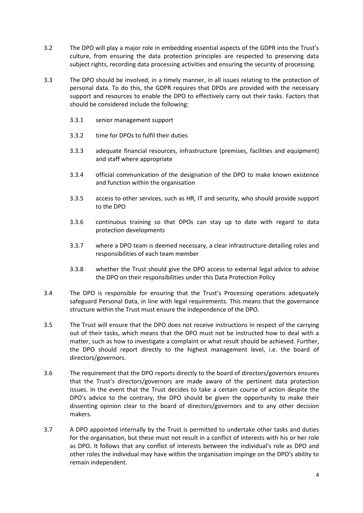- 3.2 The DPO will play a major role in embedding essential aspects of the GDPR into the Trust's culture, from ensuring the data protection principles are respected to preserving data subject rights, recording data processing activities and ensuring the security of processing.
- 3.3 The DPO should be involved, in a timely manner, in all issues relating to the protection of personal data. To do this, the GDPR requires that DPOs are provided with the necessary support and resources to enable the DPO to effectively carry out their tasks. Factors that should be considered include the following:
	- 3.3.1 senior management support
	- 3.3.2 time for DPOs to fulfil their duties
	- 3.3.3 adequate financial resources, infrastructure (premises, facilities and equipment) and staff where appropriate
	- 3.3.4 official communication of the designation of the DPO to make known existence and function within the organisation
	- 3.3.5 access to other services, such as HR, IT and security, who should provide support to the DPO
	- 3.3.6 continuous training so that DPOs can stay up to date with regard to data protection developments
	- 3.3.7 where a DPO team is deemed necessary, a clear infrastructure detailing roles and responsibilities of each team member
	- 3.3.8 whether the Trust should give the DPO access to external legal advice to advise the DPO on their responsibilities under this Data Protection Policy
- 3.4 The DPO is responsible for ensuring that the Trust's Processing operations adequately safeguard Personal Data, in line with legal requirements. This means that the governance structure within the Trust must ensure the independence of the DPO.
- 3.5 The Trust will ensure that the DPO does not receive instructions in respect of the carrying out of their tasks, which means that the DPO must not be instructed how to deal with a matter, such as how to investigate a complaint or what result should be achieved. Further, the DPO should report directly to the highest management level, i.e. the board of directors/governors.
- 3.6 The requirement that the DPO reports directly to the board of directors/governors ensures that the Trust's directors/governors are made aware of the pertinent data protection issues. In the event that the Trust decides to take a certain course of action despite the DPO's advice to the contrary, the DPO should be given the opportunity to make their dissenting opinion clear to the board of directors/governors and to any other decision makers.
- 3.7 A DPO appointed internally by the Trust is permitted to undertake other tasks and duties for the organisation, but these must not result in a conflict of interests with his or her role as DPO. It follows that any conflict of interests between the individual's role as DPO and other roles the individual may have within the organisation impinge on the DPO's ability to remain independent.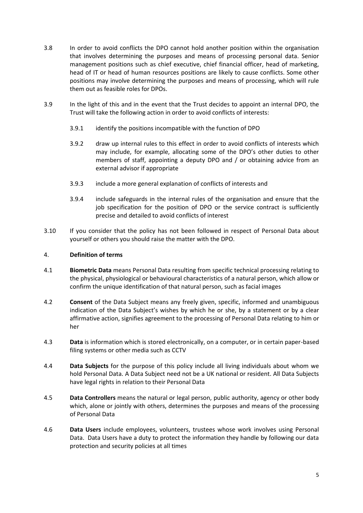- 3.8 In order to avoid conflicts the DPO cannot hold another position within the organisation that involves determining the purposes and means of processing personal data. Senior management positions such as chief executive, chief financial officer, head of marketing, head of IT or head of human resources positions are likely to cause conflicts. Some other positions may involve determining the purposes and means of processing, which will rule them out as feasible roles for DPOs.
- 3.9 In the light of this and in the event that the Trust decides to appoint an internal DPO, the Trust will take the following action in order to avoid conflicts of interests:
	- 3.9.1 identify the positions incompatible with the function of DPO
	- 3.9.2 draw up internal rules to this effect in order to avoid conflicts of interests which may include, for example, allocating some of the DPO's other duties to other members of staff, appointing a deputy DPO and / or obtaining advice from an external advisor if appropriate
	- 3.9.3 include a more general explanation of conflicts of interests and
	- 3.9.4 include safeguards in the internal rules of the organisation and ensure that the job specification for the position of DPO or the service contract is sufficiently precise and detailed to avoid conflicts of interest
- 3.10 If you consider that the policy has not been followed in respect of Personal Data about yourself or others you should raise the matter with the DPO.

## 4. **Definition of terms**

- 4.1 **Biometric Data** means Personal Data resulting from specific technical processing relating to the physical, physiological or behavioural characteristics of a natural person, which allow or confirm the unique identification of that natural person, such as facial images
- 4.2 **Consent** of the Data Subject means any freely given, specific, informed and unambiguous indication of the Data Subject's wishes by which he or she, by a statement or by a clear affirmative action, signifies agreement to the processing of Personal Data relating to him or her
- 4.3 **Data** is information which is stored electronically, on a computer, or in certain paper-based filing systems or other media such as CCTV
- 4.4 **Data Subjects** for the purpose of this policy include all living individuals about whom we hold Personal Data. A Data Subject need not be a UK national or resident. All Data Subjects have legal rights in relation to their Personal Data
- 4.5 **Data Controllers** means the natural or legal person, public authority, agency or other body which, alone or jointly with others, determines the purposes and means of the processing of Personal Data
- 4.6 **Data Users** include employees, volunteers, trustees whose work involves using Personal Data. Data Users have a duty to protect the information they handle by following our data protection and security policies at all times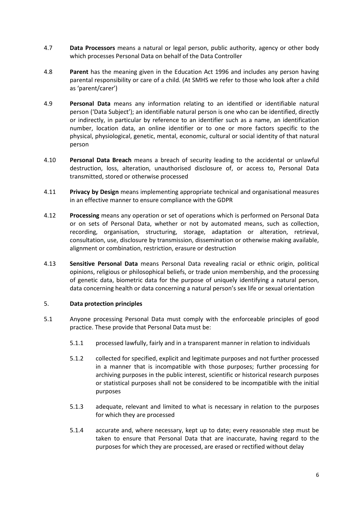- 4.7 **Data Processors** means a natural or legal person, public authority, agency or other body which processes Personal Data on behalf of the Data Controller
- 4.8 **Parent** has the meaning given in the Education Act 1996 and includes any person having parental responsibility or care of a child. (At SMHS we refer to those who look after a child as 'parent/carer')
- 4.9 **Personal Data** means any information relating to an identified or identifiable natural person ('Data Subject'); an identifiable natural person is one who can be identified, directly or indirectly, in particular by reference to an identifier such as a name, an identification number, location data, an online identifier or to one or more factors specific to the physical, physiological, genetic, mental, economic, cultural or social identity of that natural person
- 4.10 **Personal Data Breach** means a breach of security leading to the accidental or unlawful destruction, loss, alteration, unauthorised disclosure of, or access to, Personal Data transmitted, stored or otherwise processed
- 4.11 **Privacy by Design** means implementing appropriate technical and organisational measures in an effective manner to ensure compliance with the GDPR
- 4.12 **Processing** means any operation or set of operations which is performed on Personal Data or on sets of Personal Data, whether or not by automated means, such as collection, recording, organisation, structuring, storage, adaptation or alteration, retrieval, consultation, use, disclosure by transmission, dissemination or otherwise making available, alignment or combination, restriction, erasure or destruction
- 4.13 **Sensitive Personal Data** means Personal Data revealing racial or ethnic origin, political opinions, religious or philosophical beliefs, or trade union membership, and the processing of genetic data, biometric data for the purpose of uniquely identifying a natural person, data concerning health or data concerning a natural person's sex life or sexual orientation

#### 5. **Data protection principles**

- 5.1 Anyone processing Personal Data must comply with the enforceable principles of good practice. These provide that Personal Data must be:
	- 5.1.1 processed lawfully, fairly and in a transparent manner in relation to individuals
	- 5.1.2 collected for specified, explicit and legitimate purposes and not further processed in a manner that is incompatible with those purposes; further processing for archiving purposes in the public interest, scientific or historical research purposes or statistical purposes shall not be considered to be incompatible with the initial purposes
	- 5.1.3 adequate, relevant and limited to what is necessary in relation to the purposes for which they are processed
	- 5.1.4 accurate and, where necessary, kept up to date; every reasonable step must be taken to ensure that Personal Data that are inaccurate, having regard to the purposes for which they are processed, are erased or rectified without delay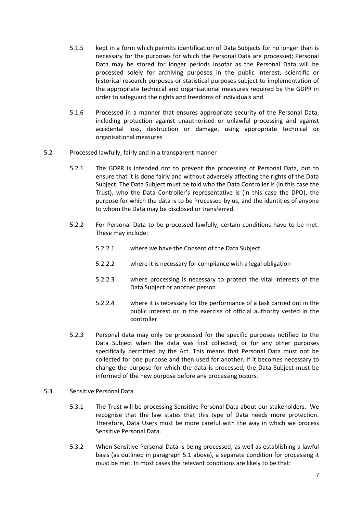- 5.1.5 kept in a form which permits identification of Data Subjects for no longer than is necessary for the purposes for which the Personal Data are processed; Personal Data may be stored for longer periods insofar as the Personal Data will be processed solely for archiving purposes in the public interest, scientific or historical research purposes or statistical purposes subject to implementation of the appropriate technical and organisational measures required by the GDPR in order to safeguard the rights and freedoms of individuals and
- 5.1.6 Processed in a manner that ensures appropriate security of the Personal Data, including protection against unauthorised or unlawful processing and against accidental loss, destruction or damage, using appropriate technical or organisational measures
- 5.2 Processed lawfully, fairly and in a transparent manner
	- 5.2.1 The GDPR is intended not to prevent the processing of Personal Data, but to ensure that it is done fairly and without adversely affecting the rights of the Data Subject. The Data Subject must be told who the Data Controller is (in this case the Trust), who the Data Controller's representative is (in this case the DPO), the purpose for which the data is to be Processed by us, and the identities of anyone to whom the Data may be disclosed or transferred.
	- 5.2.2 For Personal Data to be processed lawfully, certain conditions have to be met. These may include:
		- 5.2.2.1 where we have the Consent of the Data Subject
		- 5.2.2.2 where it is necessary for compliance with a legal obligation
		- 5.2.2.3 where processing is necessary to protect the vital interests of the Data Subject or another person
		- 5.2.2.4 where it is necessary for the performance of a task carried out in the public interest or in the exercise of official authority vested in the controller
	- 5.2.3 Personal data may only be processed for the specific purposes notified to the Data Subject when the data was first collected, or for any other purposes specifically permitted by the Act. This means that Personal Data must not be collected for one purpose and then used for another. If it becomes necessary to change the purpose for which the data is processed, the Data Subject must be informed of the new purpose before any processing occurs.
- 5.3 Sensitive Personal Data
	- 5.3.1 The Trust will be processing Sensitive Personal Data about our stakeholders. We recognise that the law states that this type of Data needs more protection. Therefore, Data Users must be more careful with the way in which we process Sensitive Personal Data.
	- 5.3.2 When Sensitive Personal Data is being processed, as well as establishing a lawful basis (as outlined in paragraph 5.1 above), a separate condition for processing it must be met. In most cases the relevant conditions are likely to be that: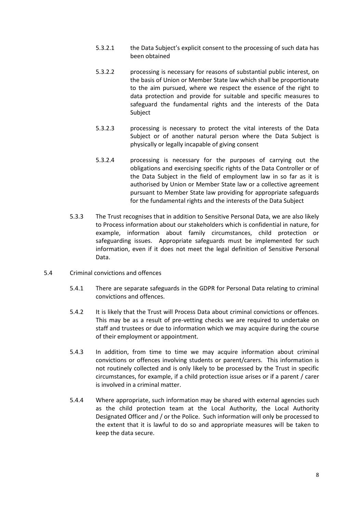- 5.3.2.1 the Data Subject's explicit consent to the processing of such data has been obtained
- 5.3.2.2 processing is necessary for reasons of substantial public interest, on the basis of Union or Member State law which shall be proportionate to the aim pursued, where we respect the essence of the right to data protection and provide for suitable and specific measures to safeguard the fundamental rights and the interests of the Data Subject
- 5.3.2.3 processing is necessary to protect the vital interests of the Data Subject or of another natural person where the Data Subject is physically or legally incapable of giving consent
- 5.3.2.4 processing is necessary for the purposes of carrying out the obligations and exercising specific rights of the Data Controller or of the Data Subject in the field of employment law in so far as it is authorised by Union or Member State law or a collective agreement pursuant to Member State law providing for appropriate safeguards for the fundamental rights and the interests of the Data Subject
- 5.3.3 The Trust recognises that in addition to Sensitive Personal Data, we are also likely to Process information about our stakeholders which is confidential in nature, for example, information about family circumstances, child protection or safeguarding issues. Appropriate safeguards must be implemented for such information, even if it does not meet the legal definition of Sensitive Personal Data.
- 5.4 Criminal convictions and offences
	- 5.4.1 There are separate safeguards in the GDPR for Personal Data relating to criminal convictions and offences.
	- 5.4.2 It is likely that the Trust will Process Data about criminal convictions or offences. This may be as a result of pre-vetting checks we are required to undertake on staff and trustees or due to information which we may acquire during the course of their employment or appointment.
	- 5.4.3 In addition, from time to time we may acquire information about criminal convictions or offences involving students or parent/carers. This information is not routinely collected and is only likely to be processed by the Trust in specific circumstances, for example, if a child protection issue arises or if a parent / carer is involved in a criminal matter.
	- 5.4.4 Where appropriate, such information may be shared with external agencies such as the child protection team at the Local Authority, the Local Authority Designated Officer and / or the Police. Such information will only be processed to the extent that it is lawful to do so and appropriate measures will be taken to keep the data secure.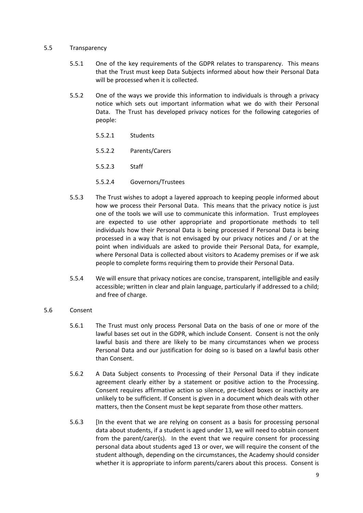#### 5.5 Transparency

- 5.5.1 One of the key requirements of the GDPR relates to transparency. This means that the Trust must keep Data Subjects informed about how their Personal Data will be processed when it is collected.
- 5.5.2 One of the ways we provide this information to individuals is through a privacy notice which sets out important information what we do with their Personal Data. The Trust has developed privacy notices for the following categories of people:
	- 5.5.2.1 Students
	- 5.5.2.2 Parents/Carers
	- 5.5.2.3 Staff
	- 5.5.2.4 Governors/Trustees
- 5.5.3 The Trust wishes to adopt a layered approach to keeping people informed about how we process their Personal Data. This means that the privacy notice is just one of the tools we will use to communicate this information. Trust employees are expected to use other appropriate and proportionate methods to tell individuals how their Personal Data is being processed if Personal Data is being processed in a way that is not envisaged by our privacy notices and / or at the point when individuals are asked to provide their Personal Data, for example, where Personal Data is collected about visitors to Academy premises or if we ask people to complete forms requiring them to provide their Personal Data.
- 5.5.4 We will ensure that privacy notices are concise, transparent, intelligible and easily accessible; written in clear and plain language, particularly if addressed to a child; and free of charge.

#### 5.6 Consent

- 5.6.1 The Trust must only process Personal Data on the basis of one or more of the lawful bases set out in the GDPR, which include Consent. Consent is not the only lawful basis and there are likely to be many circumstances when we process Personal Data and our justification for doing so is based on a lawful basis other than Consent.
- 5.6.2 A Data Subject consents to Processing of their Personal Data if they indicate agreement clearly either by a statement or positive action to the Processing. Consent requires affirmative action so silence, pre-ticked boxes or inactivity are unlikely to be sufficient. If Consent is given in a document which deals with other matters, then the Consent must be kept separate from those other matters.
- 5.6.3 [In the event that we are relying on consent as a basis for processing personal data about students, if a student is aged under 13, we will need to obtain consent from the parent/carer(s). In the event that we require consent for processing personal data about students aged 13 or over, we will require the consent of the student although, depending on the circumstances, the Academy should consider whether it is appropriate to inform parents/carers about this process. Consent is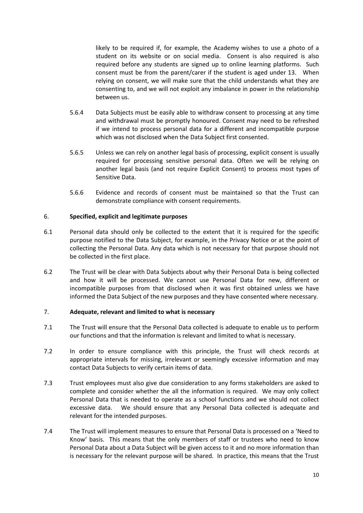likely to be required if, for example, the Academy wishes to use a photo of a student on its website or on social media. Consent is also required is also required before any students are signed up to online learning platforms. Such consent must be from the parent/carer if the student is aged under 13. When relying on consent, we will make sure that the child understands what they are consenting to, and we will not exploit any imbalance in power in the relationship between us.

- 5.6.4 Data Subjects must be easily able to withdraw consent to processing at any time and withdrawal must be promptly honoured. Consent may need to be refreshed if we intend to process personal data for a different and incompatible purpose which was not disclosed when the Data Subject first consented.
- 5.6.5 Unless we can rely on another legal basis of processing, explicit consent is usually required for processing sensitive personal data. Often we will be relying on another legal basis (and not require Explicit Consent) to process most types of Sensitive Data.
- 5.6.6 Evidence and records of consent must be maintained so that the Trust can demonstrate compliance with consent requirements.

#### 6. **Specified, explicit and legitimate purposes**

- 6.1 Personal data should only be collected to the extent that it is required for the specific purpose notified to the Data Subject, for example, in the Privacy Notice or at the point of collecting the Personal Data. Any data which is not necessary for that purpose should not be collected in the first place.
- 6.2 The Trust will be clear with Data Subjects about why their Personal Data is being collected and how it will be processed. We cannot use Personal Data for new, different or incompatible purposes from that disclosed when it was first obtained unless we have informed the Data Subject of the new purposes and they have consented where necessary.

# 7. **Adequate, relevant and limited to what is necessary**

- 7.1 The Trust will ensure that the Personal Data collected is adequate to enable us to perform our functions and that the information is relevant and limited to what is necessary.
- 7.2 In order to ensure compliance with this principle, the Trust will check records at appropriate intervals for missing, irrelevant or seemingly excessive information and may contact Data Subjects to verify certain items of data.
- 7.3 Trust employees must also give due consideration to any forms stakeholders are asked to complete and consider whether the all the information is required. We may only collect Personal Data that is needed to operate as a school functions and we should not collect excessive data. We should ensure that any Personal Data collected is adequate and relevant for the intended purposes.
- 7.4 The Trust will implement measures to ensure that Personal Data is processed on a 'Need to Know' basis. This means that the only members of staff or trustees who need to know Personal Data about a Data Subject will be given access to it and no more information than is necessary for the relevant purpose will be shared. In practice, this means that the Trust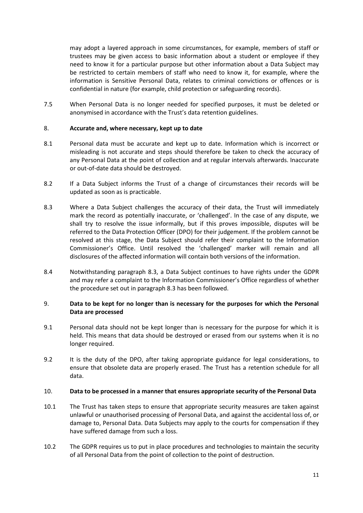may adopt a layered approach in some circumstances, for example, members of staff or trustees may be given access to basic information about a student or employee if they need to know it for a particular purpose but other information about a Data Subject may be restricted to certain members of staff who need to know it, for example, where the information is Sensitive Personal Data, relates to criminal convictions or offences or is confidential in nature (for example, child protection or safeguarding records).

7.5 When Personal Data is no longer needed for specified purposes, it must be deleted or anonymised in accordance with the Trust's data retention guidelines.

## 8. **Accurate and, where necessary, kept up to date**

- 8.1 Personal data must be accurate and kept up to date. Information which is incorrect or misleading is not accurate and steps should therefore be taken to check the accuracy of any Personal Data at the point of collection and at regular intervals afterwards. Inaccurate or out-of-date data should be destroyed.
- 8.2 If a Data Subject informs the Trust of a change of circumstances their records will be updated as soon as is practicable.
- 8.3 Where a Data Subject challenges the accuracy of their data, the Trust will immediately mark the record as potentially inaccurate, or 'challenged'. In the case of any dispute, we shall try to resolve the issue informally, but if this proves impossible, disputes will be referred to the Data Protection Officer (DPO) for their judgement. If the problem cannot be resolved at this stage, the Data Subject should refer their complaint to the Information Commissioner's Office. Until resolved the 'challenged' marker will remain and all disclosures of the affected information will contain both versions of the information.
- 8.4 Notwithstanding paragraph 8.3, a Data Subject continues to have rights under the GDPR and may refer a complaint to the Information Commissioner's Office regardless of whether the procedure set out in paragraph 8.3 has been followed.

# 9. **Data to be kept for no longer than is necessary for the purposes for which the Personal Data are processed**

- 9.1 Personal data should not be kept longer than is necessary for the purpose for which it is held. This means that data should be destroyed or erased from our systems when it is no longer required.
- 9.2 It is the duty of the DPO, after taking appropriate guidance for legal considerations, to ensure that obsolete data are properly erased. The Trust has a retention schedule for all data.

#### 10. **Data to be processed in a manner that ensures appropriate security of the Personal Data**

- 10.1 The Trust has taken steps to ensure that appropriate security measures are taken against unlawful or unauthorised processing of Personal Data, and against the accidental loss of, or damage to, Personal Data. Data Subjects may apply to the courts for compensation if they have suffered damage from such a loss.
- 10.2 The GDPR requires us to put in place procedures and technologies to maintain the security of all Personal Data from the point of collection to the point of destruction.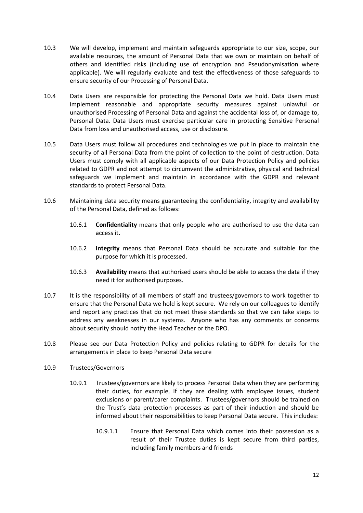- 10.3 We will develop, implement and maintain safeguards appropriate to our size, scope, our available resources, the amount of Personal Data that we own or maintain on behalf of others and identified risks (including use of encryption and Pseudonymisation where applicable). We will regularly evaluate and test the effectiveness of those safeguards to ensure security of our Processing of Personal Data.
- 10.4 Data Users are responsible for protecting the Personal Data we hold. Data Users must implement reasonable and appropriate security measures against unlawful or unauthorised Processing of Personal Data and against the accidental loss of, or damage to, Personal Data. Data Users must exercise particular care in protecting Sensitive Personal Data from loss and unauthorised access, use or disclosure.
- 10.5 Data Users must follow all procedures and technologies we put in place to maintain the security of all Personal Data from the point of collection to the point of destruction. Data Users must comply with all applicable aspects of our Data Protection Policy and policies related to GDPR and not attempt to circumvent the administrative, physical and technical safeguards we implement and maintain in accordance with the GDPR and relevant standards to protect Personal Data.
- 10.6 Maintaining data security means guaranteeing the confidentiality, integrity and availability of the Personal Data, defined as follows:
	- 10.6.1 **Confidentiality** means that only people who are authorised to use the data can access it.
	- 10.6.2 **Integrity** means that Personal Data should be accurate and suitable for the purpose for which it is processed.
	- 10.6.3 **Availability** means that authorised users should be able to access the data if they need it for authorised purposes.
- 10.7 It is the responsibility of all members of staff and trustees/governors to work together to ensure that the Personal Data we hold is kept secure. We rely on our colleagues to identify and report any practices that do not meet these standards so that we can take steps to address any weaknesses in our systems. Anyone who has any comments or concerns about security should notify the Head Teacher or the DPO.
- 10.8 Please see our Data Protection Policy and policies relating to GDPR for details for the arrangements in place to keep Personal Data secure
- 10.9 Trustees/Governors
	- 10.9.1 Trustees/governors are likely to process Personal Data when they are performing their duties, for example, if they are dealing with employee issues, student exclusions or parent/carer complaints. Trustees/governors should be trained on the Trust's data protection processes as part of their induction and should be informed about their responsibilities to keep Personal Data secure. This includes:
		- 10.9.1.1 Ensure that Personal Data which comes into their possession as a result of their Trustee duties is kept secure from third parties, including family members and friends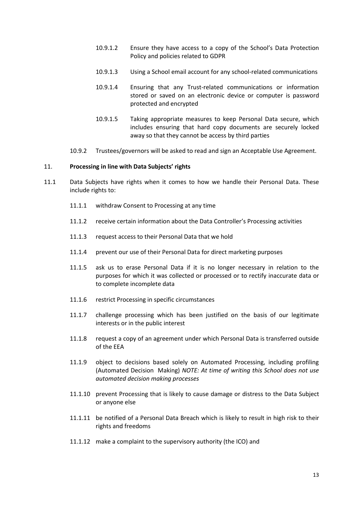- 10.9.1.2 Ensure they have access to a copy of the School's Data Protection Policy and policies related to GDPR
- 10.9.1.3 Using a School email account for any school-related communications
- 10.9.1.4 Ensuring that any Trust-related communications or information stored or saved on an electronic device or computer is password protected and encrypted
- 10.9.1.5 Taking appropriate measures to keep Personal Data secure, which includes ensuring that hard copy documents are securely locked away so that they cannot be access by third parties
- 10.9.2 Trustees/governors will be asked to read and sign an Acceptable Use Agreement.

#### 11. **Processing in line with Data Subjects' rights**

- 11.1 Data Subjects have rights when it comes to how we handle their Personal Data. These include rights to:
	- 11.1.1 withdraw Consent to Processing at any time
	- 11.1.2 receive certain information about the Data Controller's Processing activities
	- 11.1.3 request access to their Personal Data that we hold
	- 11.1.4 prevent our use of their Personal Data for direct marketing purposes
	- 11.1.5 ask us to erase Personal Data if it is no longer necessary in relation to the purposes for which it was collected or processed or to rectify inaccurate data or to complete incomplete data
	- 11.1.6 restrict Processing in specific circumstances
	- 11.1.7 challenge processing which has been justified on the basis of our legitimate interests or in the public interest
	- 11.1.8 request a copy of an agreement under which Personal Data is transferred outside of the EEA
	- 11.1.9 object to decisions based solely on Automated Processing, including profiling (Automated Decision Making) *NOTE: At time of writing this School does not use automated decision making processes*
	- 11.1.10 prevent Processing that is likely to cause damage or distress to the Data Subject or anyone else
	- 11.1.11 be notified of a Personal Data Breach which is likely to result in high risk to their rights and freedoms
	- 11.1.12 make a complaint to the supervisory authority (the ICO) and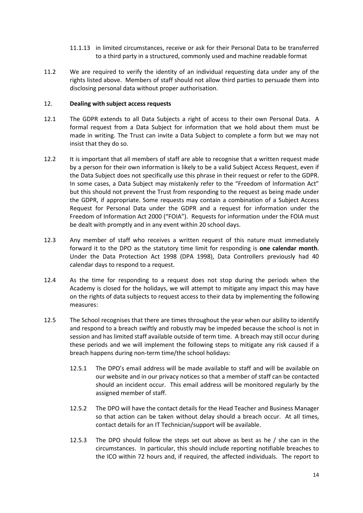- 11.1.13 in limited circumstances, receive or ask for their Personal Data to be transferred to a third party in a structured, commonly used and machine readable format
- 11.2 We are required to verify the identity of an individual requesting data under any of the rights listed above. Members of staff should not allow third parties to persuade them into disclosing personal data without proper authorisation.

## 12. **Dealing with subject access requests**

- 12.1 The GDPR extends to all Data Subjects a right of access to their own Personal Data. A formal request from a Data Subject for information that we hold about them must be made in writing. The Trust can invite a Data Subject to complete a form but we may not insist that they do so.
- 12.2 It is important that all members of staff are able to recognise that a written request made by a person for their own information is likely to be a valid Subject Access Request, even if the Data Subject does not specifically use this phrase in their request or refer to the GDPR. In some cases, a Data Subject may mistakenly refer to the "Freedom of Information Act" but this should not prevent the Trust from responding to the request as being made under the GDPR, if appropriate. Some requests may contain a combination of a Subject Access Request for Personal Data under the GDPR and a request for information under the Freedom of Information Act 2000 ("FOIA"). Requests for information under the FOIA must be dealt with promptly and in any event within 20 school days.
- 12.3 Any member of staff who receives a written request of this nature must immediately forward it to the DPO as the statutory time limit for responding is **one calendar month**. Under the Data Protection Act 1998 (DPA 1998), Data Controllers previously had 40 calendar days to respond to a request.
- 12.4 As the time for responding to a request does not stop during the periods when the Academy is closed for the holidays, we will attempt to mitigate any impact this may have on the rights of data subjects to request access to their data by implementing the following measures:
- 12.5 The School recognises that there are times throughout the year when our ability to identify and respond to a breach swiftly and robustly may be impeded because the school is not in session and has limited staff available outside of term time. A breach may still occur during these periods and we will implement the following steps to mitigate any risk caused if a breach happens during non-term time/the school holidays:
	- 12.5.1 The DPO's email address will be made available to staff and will be available on our website and in our privacy notices so that a member of staff can be contacted should an incident occur. This email address will be monitored regularly by the assigned member of staff.
	- 12.5.2 The DPO will have the contact details for the Head Teacher and Business Manager so that action can be taken without delay should a breach occur. At all times, contact details for an IT Technician/support will be available.
	- 12.5.3 The DPO should follow the steps set out above as best as he / she can in the circumstances. In particular, this should include reporting notifiable breaches to the ICO within 72 hours and, if required, the affected individuals. The report to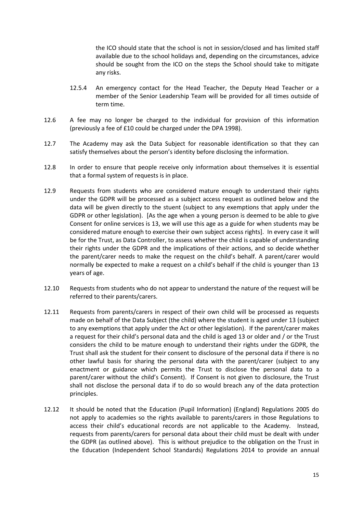the ICO should state that the school is not in session/closed and has limited staff available due to the school holidays and, depending on the circumstances, advice should be sought from the ICO on the steps the School should take to mitigate any risks.

- 12.5.4 An emergency contact for the Head Teacher, the Deputy Head Teacher or a member of the Senior Leadership Team will be provided for all times outside of term time.
- 12.6 A fee may no longer be charged to the individual for provision of this information (previously a fee of £10 could be charged under the DPA 1998).
- 12.7 The Academy may ask the Data Subject for reasonable identification so that they can satisfy themselves about the person's identity before disclosing the information.
- 12.8 In order to ensure that people receive only information about themselves it is essential that a formal system of requests is in place.
- 12.9 Requests from students who are considered mature enough to understand their rights under the GDPR will be processed as a subject access request as outlined below and the data will be given directly to the stuent (subject to any exemptions that apply under the GDPR or other legislation). [As the age when a young person is deemed to be able to give Consent for online services is 13, we will use this age as a guide for when students may be considered mature enough to exercise their own subject access rights]. In every case it will be for the Trust, as Data Controller, to assess whether the child is capable of understanding their rights under the GDPR and the implications of their actions, and so decide whether the parent/carer needs to make the request on the child's behalf. A parent/carer would normally be expected to make a request on a child's behalf if the child is younger than 13 years of age.
- 12.10 Requests from students who do not appear to understand the nature of the request will be referred to their parents/carers.
- 12.11 Requests from parents/carers in respect of their own child will be processed as requests made on behalf of the Data Subject (the child) where the student is aged under 13 (subject to any exemptions that apply under the Act or other legislation). If the parent/carer makes a request for their child's personal data and the child is aged 13 or older and / or the Trust considers the child to be mature enough to understand their rights under the GDPR, the Trust shall ask the student for their consent to disclosure of the personal data if there is no other lawful basis for sharing the personal data with the parent/carer (subject to any enactment or guidance which permits the Trust to disclose the personal data to a parent/carer without the child's Consent). If Consent is not given to disclosure, the Trust shall not disclose the personal data if to do so would breach any of the data protection principles.
- 12.12 It should be noted that the Education (Pupil Information) (England) Regulations 2005 do not apply to academies so the rights available to parents/carers in those Regulations to access their child's educational records are not applicable to the Academy. Instead, requests from parents/carers for personal data about their child must be dealt with under the GDPR (as outlined above). This is without prejudice to the obligation on the Trust in the Education (Independent School Standards) Regulations 2014 to provide an annual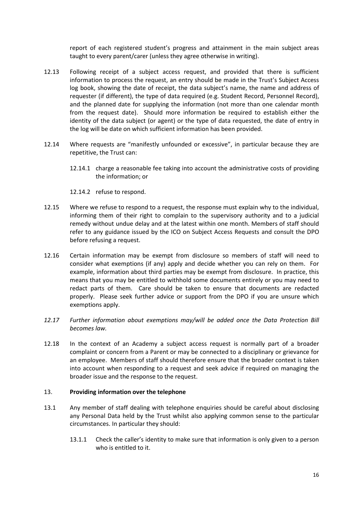report of each registered student's progress and attainment in the main subject areas taught to every parent/carer (unless they agree otherwise in writing).

- 12.13 Following receipt of a subject access request, and provided that there is sufficient information to process the request, an entry should be made in the Trust's Subject Access log book, showing the date of receipt, the data subject's name, the name and address of requester (if different), the type of data required (e.g. Student Record, Personnel Record), and the planned date for supplying the information (not more than one calendar month from the request date). Should more information be required to establish either the identity of the data subject (or agent) or the type of data requested, the date of entry in the log will be date on which sufficient information has been provided.
- 12.14 Where requests are "manifestly unfounded or excessive", in particular because they are repetitive, the Trust can:
	- 12.14.1 charge a reasonable fee taking into account the administrative costs of providing the information; or

12.14.2 refuse to respond.

- 12.15 Where we refuse to respond to a request, the response must explain why to the individual, informing them of their right to complain to the supervisory authority and to a judicial remedy without undue delay and at the latest within one month. Members of staff should refer to any guidance issued by the ICO on Subject Access Requests and consult the DPO before refusing a request.
- 12.16 Certain information may be exempt from disclosure so members of staff will need to consider what exemptions (if any) apply and decide whether you can rely on them. For example, information about third parties may be exempt from disclosure. In practice, this means that you may be entitled to withhold some documents entirely or you may need to redact parts of them. Care should be taken to ensure that documents are redacted properly. Please seek further advice or support from the DPO if you are unsure which exemptions apply.
- *12.17 Further information about exemptions may/will be added once the Data Protection Bill becomes law.*
- 12.18 In the context of an Academy a subject access request is normally part of a broader complaint or concern from a Parent or may be connected to a disciplinary or grievance for an employee. Members of staff should therefore ensure that the broader context is taken into account when responding to a request and seek advice if required on managing the broader issue and the response to the request.

#### 13. **Providing information over the telephone**

- 13.1 Any member of staff dealing with telephone enquiries should be careful about disclosing any Personal Data held by the Trust whilst also applying common sense to the particular circumstances. In particular they should:
	- 13.1.1 Check the caller's identity to make sure that information is only given to a person who is entitled to it.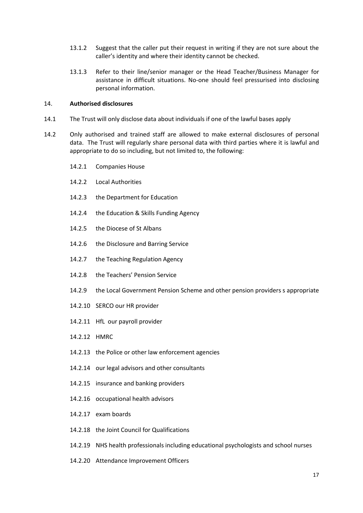- 13.1.2 Suggest that the caller put their request in writing if they are not sure about the caller's identity and where their identity cannot be checked.
- 13.1.3 Refer to their line/senior manager or the Head Teacher/Business Manager for assistance in difficult situations. No-one should feel pressurised into disclosing personal information.

#### 14. **Authorised disclosures**

- 14.1 The Trust will only disclose data about individuals if one of the lawful bases apply
- 14.2 Only authorised and trained staff are allowed to make external disclosures of personal data. The Trust will regularly share personal data with third parties where it is lawful and appropriate to do so including, but not limited to, the following:
	- 14.2.1 Companies House
	- 14.2.2 Local Authorities
	- 14.2.3 the Department for Education
	- 14.2.4 the Education & Skills Funding Agency
	- 14.2.5 the Diocese of St Albans
	- 14.2.6 the Disclosure and Barring Service
	- 14.2.7 the Teaching Regulation Agency
	- 14.2.8 the Teachers' Pension Service
	- 14.2.9 the Local Government Pension Scheme and other pension providers s appropriate
	- 14.2.10 SERCO our HR provider
	- 14.2.11 HfL our payroll provider
	- 14.2.12 HMRC
	- 14.2.13 the Police or other law enforcement agencies
	- 14.2.14 our legal advisors and other consultants
	- 14.2.15 insurance and banking providers
	- 14.2.16 occupational health advisors
	- 14.2.17 exam boards
	- 14.2.18 the Joint Council for Qualifications
	- 14.2.19 NHS health professionals including educational psychologists and school nurses
	- 14.2.20 Attendance Improvement Officers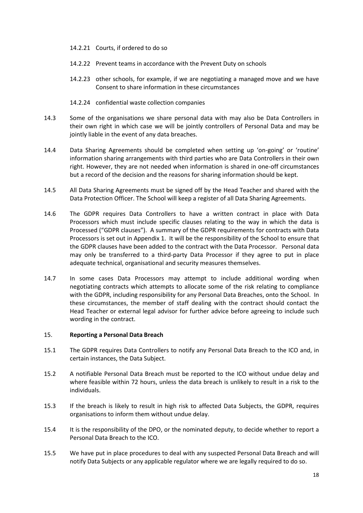- 14.2.21 Courts, if ordered to do so
- 14.2.22 Prevent teams in accordance with the Prevent Duty on schools
- 14.2.23 other schools, for example, if we are negotiating a managed move and we have Consent to share information in these circumstances
- 14.2.24 confidential waste collection companies
- 14.3 Some of the organisations we share personal data with may also be Data Controllers in their own right in which case we will be jointly controllers of Personal Data and may be jointly liable in the event of any data breaches.
- 14.4 Data Sharing Agreements should be completed when setting up 'on-going' or 'routine' information sharing arrangements with third parties who are Data Controllers in their own right. However, they are not needed when information is shared in one-off circumstances but a record of the decision and the reasons for sharing information should be kept.
- 14.5 All Data Sharing Agreements must be signed off by the Head Teacher and shared with the Data Protection Officer. The School will keep a register of all Data Sharing Agreements.
- 14.6 The GDPR requires Data Controllers to have a written contract in place with Data Processors which must include specific clauses relating to the way in which the data is Processed ("GDPR clauses"). A summary of the GDPR requirements for contracts with Data Processors is set out in Appendix 1. It will be the responsibility of the School to ensure that the GDPR clauses have been added to the contract with the Data Processor. Personal data may only be transferred to a third-party Data Processor if they agree to put in place adequate technical, organisational and security measures themselves.
- 14.7 In some cases Data Processors may attempt to include additional wording when negotiating contracts which attempts to allocate some of the risk relating to compliance with the GDPR, including responsibility for any Personal Data Breaches, onto the School. In these circumstances, the member of staff dealing with the contract should contact the Head Teacher or external legal advisor for further advice before agreeing to include such wording in the contract.

#### 15. **Reporting a Personal Data Breach**

- 15.1 The GDPR requires Data Controllers to notify any Personal Data Breach to the ICO and, in certain instances, the Data Subject.
- 15.2 A notifiable Personal Data Breach must be reported to the ICO without undue delay and where feasible within 72 hours, unless the data breach is unlikely to result in a risk to the individuals.
- 15.3 If the breach is likely to result in high risk to affected Data Subjects, the GDPR, requires organisations to inform them without undue delay.
- 15.4 It is the responsibility of the DPO, or the nominated deputy, to decide whether to report a Personal Data Breach to the ICO.
- 15.5 We have put in place procedures to deal with any suspected Personal Data Breach and will notify Data Subjects or any applicable regulator where we are legally required to do so.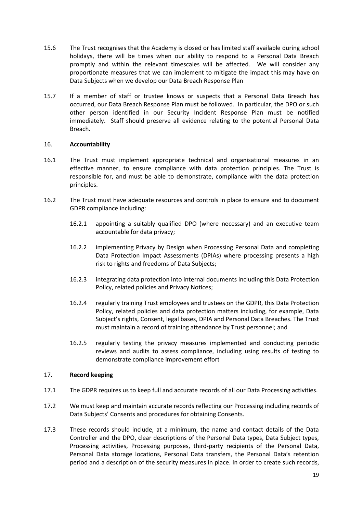- 15.6 The Trust recognises that the Academy is closed or has limited staff available during school holidays, there will be times when our ability to respond to a Personal Data Breach promptly and within the relevant timescales will be affected. We will consider any proportionate measures that we can implement to mitigate the impact this may have on Data Subjects when we develop our Data Breach Response Plan
- 15.7 If a member of staff or trustee knows or suspects that a Personal Data Breach has occurred, our Data Breach Response Plan must be followed. In particular, the DPO or such other person identified in our Security Incident Response Plan must be notified immediately. Staff should preserve all evidence relating to the potential Personal Data Breach.

# 16. **Accountability**

- 16.1 The Trust must implement appropriate technical and organisational measures in an effective manner, to ensure compliance with data protection principles. The Trust is responsible for, and must be able to demonstrate, compliance with the data protection principles.
- 16.2 The Trust must have adequate resources and controls in place to ensure and to document GDPR compliance including:
	- 16.2.1 appointing a suitably qualified DPO (where necessary) and an executive team accountable for data privacy;
	- 16.2.2 implementing Privacy by Design when Processing Personal Data and completing Data Protection Impact Assessments (DPIAs) where processing presents a high risk to rights and freedoms of Data Subjects;
	- 16.2.3 integrating data protection into internal documents including this Data Protection Policy, related policies and Privacy Notices;
	- 16.2.4 regularly training Trust employees and trustees on the GDPR, this Data Protection Policy, related policies and data protection matters including, for example, Data Subject's rights, Consent, legal bases, DPIA and Personal Data Breaches. The Trust must maintain a record of training attendance by Trust personnel; and
	- 16.2.5 regularly testing the privacy measures implemented and conducting periodic reviews and audits to assess compliance, including using results of testing to demonstrate compliance improvement effort

#### 17. **Record keeping**

- 17.1 The GDPR requires us to keep full and accurate records of all our Data Processing activities.
- 17.2 We must keep and maintain accurate records reflecting our Processing including records of Data Subjects' Consents and procedures for obtaining Consents.
- 17.3 These records should include, at a minimum, the name and contact details of the Data Controller and the DPO, clear descriptions of the Personal Data types, Data Subject types, Processing activities, Processing purposes, third-party recipients of the Personal Data, Personal Data storage locations, Personal Data transfers, the Personal Data's retention period and a description of the security measures in place. In order to create such records,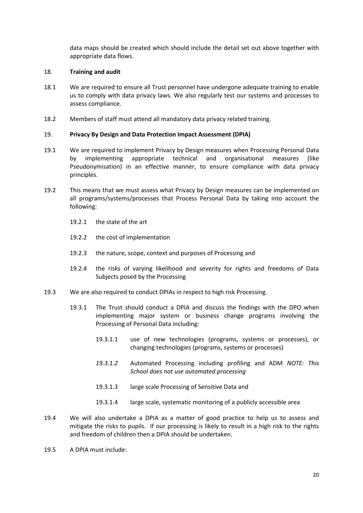data maps should be created which should include the detail set out above together with appropriate data flows.

#### 18. **Training and audit**

- 18.1 We are required to ensure all Trust personnel have undergone adequate training to enable us to comply with data privacy laws. We also regularly test our systems and processes to assess compliance.
- 18.2 Members of staff must attend all mandatory data privacy related training.

#### 19. **Privacy By Design and Data Protection Impact Assessment (DPIA)**

- 19.1 We are required to implement Privacy by Design measures when Processing Personal Data by implementing appropriate technical and organisational measures (like Pseudonymisation) in an effective manner, to ensure compliance with data privacy principles.
- 19.2 This means that we must assess what Privacy by Design measures can be implemented on all programs/systems/processes that Process Personal Data by taking into account the following:
	- 19.2.1 the state of the art
	- 19.2.2 the cost of implementation
	- 19.2.3 the nature, scope, context and purposes of Processing and
	- 19.2.4 the risks of varying likelihood and severity for rights and freedoms of Data Subjects posed by the Processing
- 19.3 We are also required to conduct DPIAs in respect to high risk Processing.
	- 19.3.1 The Trust should conduct a DPIA and discuss the findings with the DPO when implementing major system or business change programs involving the Processing of Personal Data including:
		- 19.3.1.1 use of new technologies (programs, systems or processes), or changing technologies (programs, systems or processes)
		- *19.3.1.2* Automated Processing including profiling and ADM *NOTE: This School does not use automated processing*
		- 19.3.1.3 large scale Processing of Sensitive Data and
		- 19.3.1.4 large scale, systematic monitoring of a publicly accessible area
- 19.4 We will also undertake a DPIA as a matter of good practice to help us to assess and mitigate the risks to pupils. If our processing is likely to result in a high risk to the rights and freedom of children then a DPIA should be undertaken.
- 19.5 A DPIA must include: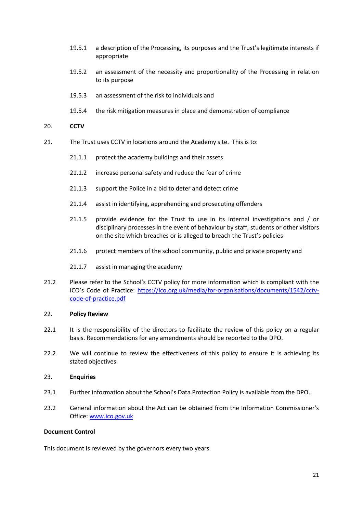- 19.5.1 a description of the Processing, its purposes and the Trust's legitimate interests if appropriate
- 19.5.2 an assessment of the necessity and proportionality of the Processing in relation to its purpose
- 19.5.3 an assessment of the risk to individuals and
- 19.5.4 the risk mitigation measures in place and demonstration of compliance

#### 20. **CCTV**

- 21. The Trust uses CCTV in locations around the Academy site. This is to:
	- 21.1.1 protect the academy buildings and their assets
	- 21.1.2 increase personal safety and reduce the fear of crime
	- 21.1.3 support the Police in a bid to deter and detect crime
	- 21.1.4 assist in identifying, apprehending and prosecuting offenders
	- 21.1.5 provide evidence for the Trust to use in its internal investigations and / or disciplinary processes in the event of behaviour by staff, students or other visitors on the site which breaches or is alleged to breach the Trust's policies
	- 21.1.6 protect members of the school community, public and private property and
	- 21.1.7 assist in managing the academy
- 21.2 Please refer to the School's CCTV policy for more information which is compliant with the ICO's Code of Practice: [https://ico.org.uk/media/for-organisations/documents/1542/cctv](https://ico.org.uk/media/for-organisations/documents/1542/cctv-code-of-practice.pdf)[code-of-practice.pdf](https://ico.org.uk/media/for-organisations/documents/1542/cctv-code-of-practice.pdf)

#### 22. **Policy Review**

- 22.1 It is the responsibility of the directors to facilitate the review of this policy on a regular basis. Recommendations for any amendments should be reported to the DPO.
- 22.2 We will continue to review the effectiveness of this policy to ensure it is achieving its stated objectives.

#### 23. **Enquiries**

- 23.1 Further information about the School's Data Protection Policy is available from the DPO.
- 23.2 General information about the Act can be obtained from the Information Commissioner's Office[: www.ico.gov.uk](http://www.ico.gov.uk/)

## **Document Control**

This document is reviewed by the governors every two years.